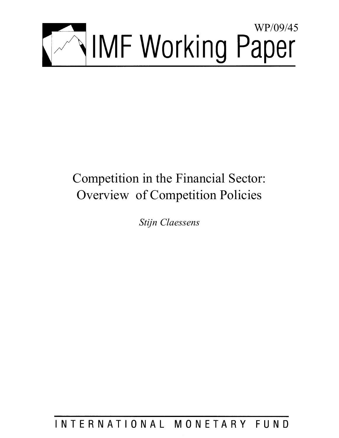

# Competition in the Financial Sector: Overview of Competition Policies

*Stijn Claessens* 

INTERNATIONAL MONETARY FUND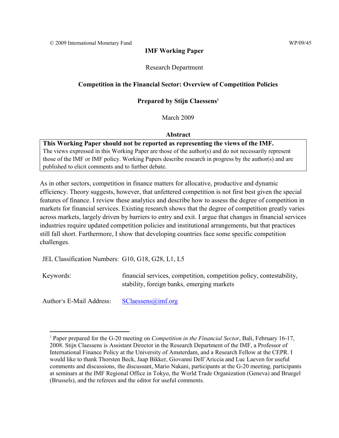#### **IMF Working Paper**

Research Department

### **Competition in the Financial Sector: Overview of Competition Policies**

#### Prepared by Stijn Claessens<sup>1</sup>

March 2009

#### **Abstract**

**This Working Paper should not be reported as representing the views of the IMF.** The views expressed in this Working Paper are those of the author(s) and do not necessarily represent those of the IMF or IMF policy. Working Papers describe research in progress by the author(s) and are published to elicit comments and to further debate.

As in other sectors, competition in finance matters for allocative, productive and dynamic efficiency. Theory suggests, however, that unfettered competition is not first best given the special features of finance. I review these analytics and describe how to assess the degree of competition in markets for financial services. Existing research shows that the degree of competition greatly varies across markets, largely driven by barriers to entry and exit. I argue that changes in financial services industries require updated competition policies and institutional arrangements, but that practices still fall short. Furthermore, I show that developing countries face some specific competition challenges.

JEL Classification Numbers: G10, G18, G28, L1, L5

 $\overline{a}$ 

Keywords: financial services, competition, competition policy, contestability, stability, foreign banks, emerging markets

Author's E-Mail Address: SClaessens@imf.org

<sup>1</sup> Paper prepared for the G-20 meeting on *Competition in the Financial Sector*, Bali, February 16-17, 2008. Stijn Claessens is Assistant Director in the Research Department of the IMF, a Professor of International Finance Policy at the University of Amsterdam, and a Research Fellow at the CEPR. I would like to thank Thorsten Beck, Jaap Bikker, Giovanni Dell'Ariccia and Luc Laeven for useful comments and discussions, the discussant, Mario Nakani, participants at the G-20 meeting, participants at seminars at the IMF Regional Office in Tokyo, the World Trade Organization (Geneva) and Bruegel (Brussels), and the referees and the editor for useful comments.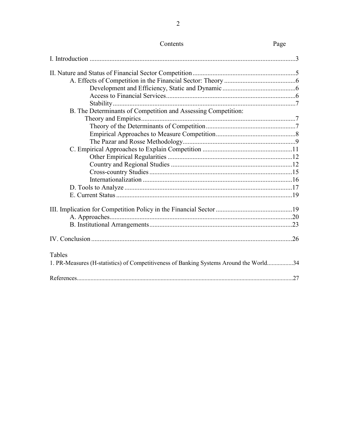| Contents                                                                                         | Page |
|--------------------------------------------------------------------------------------------------|------|
|                                                                                                  |      |
|                                                                                                  |      |
|                                                                                                  |      |
|                                                                                                  |      |
|                                                                                                  |      |
|                                                                                                  |      |
| B. The Determinants of Competition and Assessing Competition:                                    |      |
|                                                                                                  |      |
|                                                                                                  |      |
|                                                                                                  |      |
|                                                                                                  |      |
|                                                                                                  |      |
|                                                                                                  |      |
|                                                                                                  |      |
|                                                                                                  |      |
|                                                                                                  |      |
|                                                                                                  |      |
|                                                                                                  |      |
|                                                                                                  |      |
|                                                                                                  |      |
|                                                                                                  |      |
|                                                                                                  |      |
| Tables<br>1. PR-Measures (H-statistics) of Competitiveness of Banking Systems Around the World34 |      |
|                                                                                                  |      |
|                                                                                                  |      |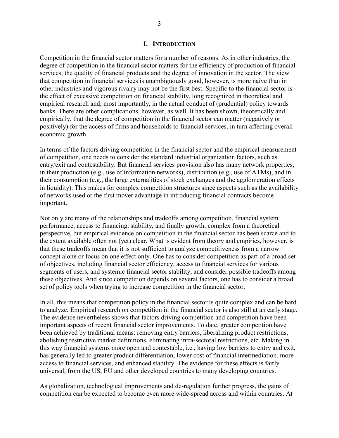#### **I. INTRODUCTION**

Competition in the financial sector matters for a number of reasons. As in other industries, the degree of competition in the financial sector matters for the efficiency of production of financial services, the quality of financial products and the degree of innovation in the sector. The view that competition in financial services is unambiguously good, however, is more naive than in other industries and vigorous rivalry may not be the first best. Specific to the financial sector is the effect of excessive competition on financial stability, long recognized in theoretical and empirical research and, most importantly, in the actual conduct of (prudential) policy towards banks. There are other complications, however, as well. It has been shown, theoretically and empirically, that the degree of competition in the financial sector can matter (negatively or positively) for the access of firms and households to financial services, in turn affecting overall economic growth.

In terms of the factors driving competition in the financial sector and the empirical measurement of competition, one needs to consider the standard industrial organization factors, such as entry/exit and contestability. But financial services provision also has many network properties, in their production (e.g., use of information networks), distribution (e.g., use of ATMs), and in their consumption (e.g., the large externalities of stock exchanges and the agglomeration effects in liquidity). This makes for complex competition structures since aspects such as the availability of networks used or the first mover advantage in introducing financial contracts become important.

Not only are many of the relationships and tradeoffs among competition, financial system performance, access to financing, stability, and finally growth, complex from a theoretical perspective, but empirical evidence on competition in the financial sector has been scarce and to the extent available often not (yet) clear. What is evident from theory and empirics, however, is that these tradeoffs mean that it is not sufficient to analyze competitiveness from a narrow concept alone or focus on one effect only. One has to consider competition as part of a broad set of objectives, including financial sector efficiency, access to financial services for various segments of users, and systemic financial sector stability, and consider possible tradeoffs among these objectives. And since competition depends on several factors, one has to consider a broad set of policy tools when trying to increase competition in the financial sector.

In all, this means that competition policy in the financial sector is quite complex and can be hard to analyze. Empirical research on competition in the financial sector is also still at an early stage. The evidence nevertheless shows that factors driving competition and competition have been important aspects of recent financial sector improvements. To date, greater competition have been achieved by traditional means: removing entry barriers, liberalizing product restrictions, abolishing restrictive market definitions, eliminating intra-sectoral restrictions, etc. Making in this way financial systems more open and contestable, i.e., having low barriers to entry and exit, has generally led to greater product differentiation, lower cost of financial intermediation, more access to financial services, and enhanced stability. The evidence for these effects is fairly universal, from the US, EU and other developed countries to many developing countries.

As globalization, technological improvements and de-regulation further progress, the gains of competition can be expected to become even more wide-spread across and within countries. At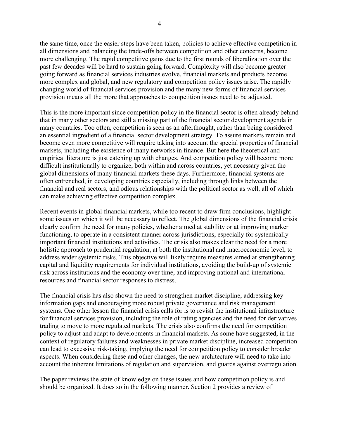the same time, once the easier steps have been taken, policies to achieve effective competition in all dimensions and balancing the trade-offs between competition and other concerns, become more challenging. The rapid competitive gains due to the first rounds of liberalization over the past few decades will be hard to sustain going forward. Complexity will also become greater going forward as financial services industries evolve, financial markets and products become more complex and global, and new regulatory and competition policy issues arise. The rapidly changing world of financial services provision and the many new forms of financial services provision means all the more that approaches to competition issues need to be adjusted.

This is the more important since competition policy in the financial sector is often already behind that in many other sectors and still a missing part of the financial sector development agenda in many countries. Too often, competition is seen as an afterthought, rather than being considered an essential ingredient of a financial sector development strategy. To assure markets remain and become even more competitive will require taking into account the special properties of financial markets, including the existence of many networks in finance. But here the theoretical and empirical literature is just catching up with changes. And competition policy will become more difficult institutionally to organize, both within and across countries, yet necessary given the global dimensions of many financial markets these days. Furthermore, financial systems are often entrenched, in developing countries especially, including through links between the financial and real sectors, and odious relationships with the political sector as well, all of which can make achieving effective competition complex.

Recent events in global financial markets, while too recent to draw firm conclusions, highlight some issues on which it will be necessary to reflect. The global dimensions of the financial crisis clearly confirm the need for many policies, whether aimed at stability or at improving marker functioning, to operate in a consistent manner across jurisdictions, especially for systemicallyimportant financial institutions and activities. The crisis also makes clear the need for a more holistic approach to prudential regulation, at both the institutional and macroeconomic level, to address wider systemic risks. This objective will likely require measures aimed at strengthening capital and liquidity requirements for individual institutions, avoiding the build-up of systemic risk across institutions and the economy over time, and improving national and international resources and financial sector responses to distress.

The financial crisis has also shown the need to strengthen market discipline, addressing key information gaps and encouraging more robust private governance and risk management systems. One other lesson the financial crisis calls for is to revisit the institutional infrastructure for financial services provision, including the role of rating agencies and the need for derivatives trading to move to more regulated markets. The crisis also confirms the need for competition policy to adjust and adapt to developments in financial markets. As some have suggested, in the context of regulatory failures and weaknesses in private market discipline, increased competition can lead to excessive risk-taking, implying the need for competition policy to consider broader aspects. When considering these and other changes, the new architecture will need to take into account the inherent limitations of regulation and supervision, and guards against overregulation.

The paper reviews the state of knowledge on these issues and how competition policy is and should be organized. It does so in the following manner. Section 2 provides a review of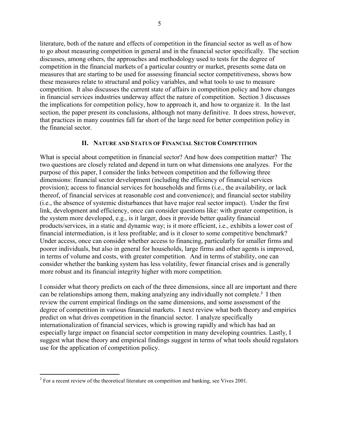literature, both of the nature and effects of competition in the financial sector as well as of how to go about measuring competition in general and in the financial sector specifically. The section discusses, among others, the approaches and methodology used to tests for the degree of competition in the financial markets of a particular country or market, presents some data on measures that are starting to be used for assessing financial sector competitiveness, shows how these measures relate to structural and policy variables, and what tools to use to measure competition. It also discusses the current state of affairs in competition policy and how changes in financial services industries underway affect the nature of competition. Section 3 discusses the implications for competition policy, how to approach it, and how to organize it. In the last section, the paper present its conclusions, although not many definitive. It does stress, however, that practices in many countries fall far short of the large need for better competition policy in the financial sector.

#### **II. NATURE AND STATUS OF FINANCIAL SECTOR COMPETITION**

What is special about competition in financial sector? And how does competition matter? The two questions are closely related and depend in turn on what dimensions one analyzes. For the purpose of this paper, I consider the links between competition and the following three dimensions: financial sector development (including the efficiency of financial services provision); access to financial services for households and firms (i.e., the availability, or lack thereof, of financial services at reasonable cost and convenience); and financial sector stability (i.e., the absence of systemic disturbances that have major real sector impact). Under the first link, development and efficiency, once can consider questions like: with greater competition, is the system more developed, e.g., is it larger, does it provide better quality financial products/services, in a static and dynamic way; is it more efficient, i.e., exhibits a lower cost of financial intermediation, is it less profitable; and is it closer to some competitive benchmark? Under access, once can consider whether access to financing, particularly for smaller firms and poorer individuals, but also in general for households, large firms and other agents is improved, in terms of volume and costs, with greater competition. And in terms of stability, one can consider whether the banking system has less volatility, fewer financial crises and is generally more robust and its financial integrity higher with more competition.

I consider what theory predicts on each of the three dimensions, since all are important and there can be relationships among them, making analyzing any individually not complete.<sup>2</sup> I then review the current empirical findings on the same dimensions, and some assessment of the degree of competition in various financial markets. I next review what both theory and empirics predict on what drives competition in the financial sector. I analyze specifically internationalization of financial services, which is growing rapidly and which has had an especially large impact on financial sector competition in many developing countries. Lastly, I suggest what these theory and empirical findings suggest in terms of what tools should regulators use for the application of competition policy.

1

 $2^{2}$  For a recent review of the theoretical literature on competition and banking, see Vives 2001.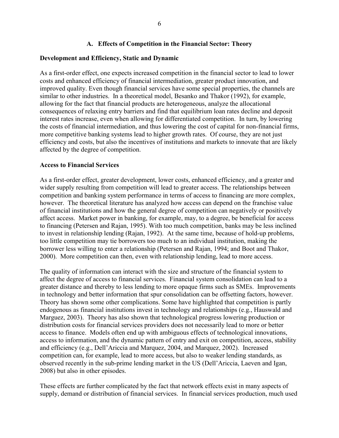## **A. Effects of Competition in the Financial Sector: Theory**

#### **Development and Efficiency, Static and Dynamic**

As a first-order effect, one expects increased competition in the financial sector to lead to lower costs and enhanced efficiency of financial intermediation, greater product innovation, and improved quality. Even though financial services have some special properties, the channels are similar to other industries. In a theoretical model, Besanko and Thakor (1992), for example, allowing for the fact that financial products are heterogeneous, analyze the allocational consequences of relaxing entry barriers and find that equilibrium loan rates decline and deposit interest rates increase, even when allowing for differentiated competition. In turn, by lowering the costs of financial intermediation, and thus lowering the cost of capital for non-financial firms, more competitive banking systems lead to higher growth rates. Of course, they are not just efficiency and costs, but also the incentives of institutions and markets to innovate that are likely affected by the degree of competition.

#### **Access to Financial Services**

As a first-order effect, greater development, lower costs, enhanced efficiency, and a greater and wider supply resulting from competition will lead to greater access. The relationships between competition and banking system performance in terms of access to financing are more complex, however. The theoretical literature has analyzed how access can depend on the franchise value of financial institutions and how the general degree of competition can negatively or positively affect access. Market power in banking, for example, may, to a degree, be beneficial for access to financing (Petersen and Rajan, 1995). With too much competition, banks may be less inclined to invest in relationship lending (Rajan, 1992). At the same time, because of hold-up problems, too little competition may tie borrowers too much to an individual institution, making the borrower less willing to enter a relationship (Petersen and Rajan, 1994; and Boot and Thakor, 2000). More competition can then, even with relationship lending, lead to more access.

The quality of information can interact with the size and structure of the financial system to affect the degree of access to financial services. Financial system consolidation can lead to a greater distance and thereby to less lending to more opaque firms such as SMEs. Improvements in technology and better information that spur consolidation can be offsetting factors, however. Theory has shown some other complications. Some have highlighted that competition is partly endogenous as financial institutions invest in technology and relationships (e.g., Hauswald and Marguez, 2003). Theory has also shown that technological progress lowering production or distribution costs for financial services providers does not necessarily lead to more or better access to finance. Models often end up with ambiguous effects of technological innovations, access to information, and the dynamic pattern of entry and exit on competition, access, stability and efficiency (e.g., Dell'Ariccia and Marquez, 2004, and Marquez, 2002). Increased competition can, for example, lead to more access, but also to weaker lending standards, as observed recently in the sub-prime lending market in the US (Dell'Ariccia, Laeven and Igan, 2008) but also in other episodes.

These effects are further complicated by the fact that network effects exist in many aspects of supply, demand or distribution of financial services. In financial services production, much used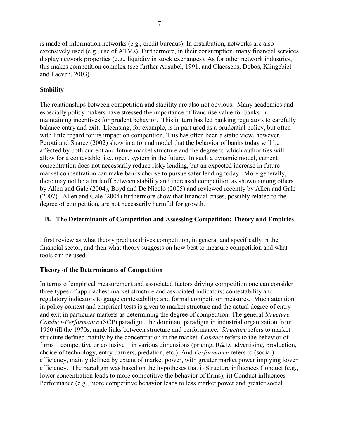is made of information networks (e.g., credit bureaus). In distribution, networks are also extensively used (e.g., use of ATMs). Furthermore, in their consumption, many financial services display network properties (e.g., liquidity in stock exchanges). As for other network industries, this makes competition complex (see further Ausubel, 1991, and Claessens, Dobos, Klingebiel and Laeven, 2003).

# **Stability**

The relationships between competition and stability are also not obvious. Many academics and especially policy makers have stressed the importance of franchise value for banks in maintaining incentives for prudent behavior. This in turn has led banking regulators to carefully balance entry and exit. Licensing, for example, is in part used as a prudential policy, but often with little regard for its impact on competition. This has often been a static view, however. Perotti and Suarez (2002) show in a formal model that the behavior of banks today will be affected by both current and future market structure and the degree to which authorities will allow for a contestable, i.e., open, system in the future. In such a dynamic model, current concentration does not necessarily reduce risky lending, but an expected increase in future market concentration can make banks choose to pursue safer lending today. More generally, there may not be a tradeoff between stability and increased competition as shown among others by Allen and Gale (2004), Boyd and De Nicolò (2005) and reviewed recently by Allen and Gale (2007). Allen and Gale (2004) furthermore show that financial crises, possibly related to the degree of competition, are not necessarily harmful for growth.

## **B. The Determinants of Competition and Assessing Competition: Theory and Empirics**

I first review as what theory predicts drives competition, in general and specifically in the financial sector, and then what theory suggests on how best to measure competition and what tools can be used.

## **Theory of the Determinants of Competition**

In terms of empirical measurement and associated factors driving competition one can consider three types of approaches: market structure and associated indicators; contestability and regulatory indicators to gauge contestability; and formal competition measures. Much attention in policy context and empirical tests is given to market structure and the actual degree of entry and exit in particular markets as determining the degree of competition. The general *Structure-Conduct-Performance* (SCP) paradigm, the dominant paradigm in industrial organization from 1950 till the 1970s, made links between structure and performance. *Structure* refers to market structure defined mainly by the concentration in the market. *Conduct* refers to the behavior of firms—competitive or collusive—in various dimensions (pricing, R&D, advertising, production, choice of technology, entry barriers, predation, etc.). And *Performance* refers to (social) efficiency, mainly defined by extent of market power, with greater market power implying lower efficiency. The paradigm was based on the hypotheses that i) Structure influences Conduct (e.g., lower concentration leads to more competitive the behavior of firms); ii) Conduct influences Performance (e.g., more competitive behavior leads to less market power and greater social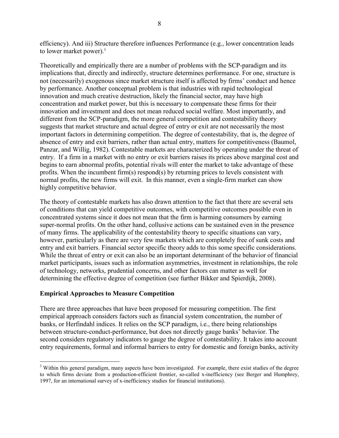efficiency). And iii) Structure therefore influences Performance (e.g., lower concentration leads to lower market power).<sup>3</sup>

Theoretically and empirically there are a number of problems with the SCP-paradigm and its implications that, directly and indirectly, structure determines performance. For one, structure is not (necessarily) exogenous since market structure itself is affected by firms' conduct and hence by performance. Another conceptual problem is that industries with rapid technological innovation and much creative destruction, likely the financial sector, may have high concentration and market power, but this is necessary to compensate these firms for their innovation and investment and does not mean reduced social welfare. Most importantly, and different from the SCP-paradigm, the more general competition and contestability theory suggests that market structure and actual degree of entry or exit are not necessarily the most important factors in determining competition. The degree of contestability, that is, the degree of absence of entry and exit barriers, rather than actual entry, matters for competitiveness (Baumol, Panzar, and Willig, 1982). Contestable markets are characterized by operating under the threat of entry. If a firm in a market with no entry or exit barriers raises its prices above marginal cost and begins to earn abnormal profits, potential rivals will enter the market to take advantage of these profits. When the incumbent firm(s) respond(s) by returning prices to levels consistent with normal profits, the new firms will exit. In this manner, even a single-firm market can show highly competitive behavior.

The theory of contestable markets has also drawn attention to the fact that there are several sets of conditions that can yield competitive outcomes, with competitive outcomes possible even in concentrated systems since it does not mean that the firm is harming consumers by earning super-normal profits. On the other hand, collusive actions can be sustained even in the presence of many firms. The applicability of the contestability theory to specific situations can vary, however, particularly as there are very few markets which are completely free of sunk costs and entry and exit barriers. Financial sector specific theory adds to this some specific considerations. While the threat of entry or exit can also be an important determinant of the behavior of financial market participants, issues such as information asymmetries, investment in relationships, the role of technology, networks, prudential concerns, and other factors can matter as well for determining the effective degree of competition (see further Bikker and Spierdijk, 2008).

#### **Empirical Approaches to Measure Competition**

 $\overline{a}$ 

There are three approaches that have been proposed for measuring competition. The first empirical approach considers factors such as financial system concentration, the number of banks, or Herfindahl indices. It relies on the SCP paradigm, i.e., there being relationships between structure-conduct-performance, but does not directly gauge banks' behavior. The second considers regulatory indicators to gauge the degree of contestability. It takes into account entry requirements, formal and informal barriers to entry for domestic and foreign banks, activity

<sup>&</sup>lt;sup>3</sup> Within this general paradigm, many aspects have been investigated. For example, there exist studies of the degree to which firms deviate from a production-efficient frontier, so-called x-inefficiency (see Berger and Humphrey, 1997, for an international survey of x-inefficiency studies for financial institutions).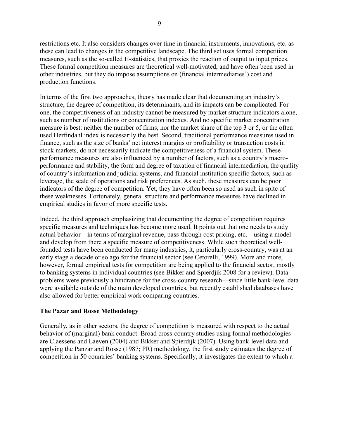restrictions etc. It also considers changes over time in financial instruments, innovations, etc. as these can lead to changes in the competitive landscape. The third set uses formal competition measures, such as the so-called H-statistics, that proxies the reaction of output to input prices. These formal competition measures are theoretical well-motivated, and have often been used in other industries, but they do impose assumptions on (financial intermediaries') cost and production functions.

In terms of the first two approaches, theory has made clear that documenting an industry's structure, the degree of competition, its determinants, and its impacts can be complicated. For one, the competitiveness of an industry cannot be measured by market structure indicators alone, such as number of institutions or concentration indexes. And no specific market concentration measure is best: neither the number of firms, nor the market share of the top 3 or 5, or the often used Herfindahl index is necessarily the best. Second, traditional performance measures used in finance, such as the size of banks' net interest margins or profitability or transaction costs in stock markets, do not necessarily indicate the competitiveness of a financial system. These performance measures are also influenced by a number of factors, such as a country's macroperformance and stability, the form and degree of taxation of financial intermediation, the quality of country's information and judicial systems, and financial institution specific factors, such as leverage, the scale of operations and risk preferences. As such, these measures can be poor indicators of the degree of competition. Yet, they have often been so used as such in spite of these weaknesses. Fortunately, general structure and performance measures have declined in empirical studies in favor of more specific tests.

Indeed, the third approach emphasizing that documenting the degree of competition requires specific measures and techniques has become more used. It points out that one needs to study actual behavior—in terms of marginal revenue, pass-through cost pricing, etc.—using a model and develop from there a specific measure of competitiveness. While such theoretical wellfounded tests have been conducted for many industries, it, particularly cross-country, was at an early stage a decade or so ago for the financial sector (see Cetorelli, 1999). More and more, however, formal empirical tests for competition are being applied to the financial sector, mostly to banking systems in individual countries (see Bikker and Spierdjik 2008 for a review). Data problems were previously a hindrance for the cross-country research—since little bank-level data were available outside of the main developed countries, but recently established databases have also allowed for better empirical work comparing countries.

## **The Pazar and Rosse Methodology**

Generally, as in other sectors, the degree of competition is measured with respect to the actual behavior of (marginal) bank conduct. Broad cross-country studies using formal methodologies are Claessens and Laeven (2004) and Bikker and Spierdijk (2007). Using bank-level data and applying the Panzar and Rosse (1987; PR) methodology, the first study estimates the degree of competition in 50 countries' banking systems. Specifically, it investigates the extent to which a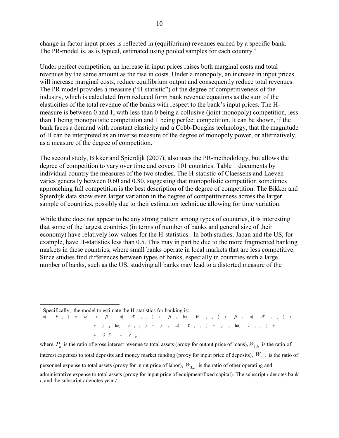change in factor input prices is reflected in (equilibrium) revenues earned by a specific bank. The PR-model is, as is typical, estimated using pooled samples for each country.<sup>4</sup>

Under perfect competition, an increase in input prices raises both marginal costs and total revenues by the same amount as the rise in costs. Under a monopoly, an increase in input prices will increase marginal costs, reduce equilibrium output and consequently reduce total revenues. The PR model provides a measure ("H-statistic") of the degree of competitiveness of the industry, which is calculated from reduced form bank revenue equations as the sum of the elasticities of the total revenue of the banks with respect to the bank's input prices. The Hmeasure is between 0 and 1, with less than 0 being a collusive (joint monopoly) competition, less than 1 being monopolistic competition and 1 being perfect competition. It can be shown, if the bank faces a demand with constant elasticity and a Cobb-Douglas technology, that the magnitude of H can be interpreted as an inverse measure of the degree of monopoly power, or alternatively, as a measure of the degree of competition.

The second study, Bikker and Spierdijk (2007), also uses the PR-methodology, but allows the degree of competition to vary over time and covers 101 countries. Table 1 documents by individual country the measures of the two studies. The H-statistic of Claessens and Laeven varies generally between 0.60 and 0.80, suggesting that monopolistic competition sometimes approaching full competition is the best description of the degree of competition. The Bikker and Spierdijk data show even larger variation in the degree of competitiveness across the larger sample of countries, possibly due to their estimation technique allowing for time variation.

While there does not appear to be any strong pattern among types of countries, it is interesting that some of the largest countries (in terms of number of banks and general size of their economy) have relatively low values for the H-statistics. In both studies, Japan and the US, for example, have H-statistics less than 0.5. This may in part be due to the more fragmented banking markets in these countries, where small banks operate in local markets that are less competitive. Since studies find differences between types of banks, especially in countries with a large number of banks, such as the US, studying all banks may lead to a distorted measure of the

 $\overline{a}$ <sup>4</sup> Specifically, the model to estimate the H-statistics for banking is:  $+\delta D + \varepsilon_{ii}$ *i y i*  $\ln($  *Y*<sub>1,*it*</sub>  $)$  *i y <sub>2</sub>*  $\ln($  *Y*<sub>2,*it*</sub>  $)$  *i y 3*  $\ln($  *Y*<sub>3,*it*</sub>  $)$  *i*  $\ln($   $P_{ij}$   $)$  =  $\alpha$  +  $\beta$   $_{1}$   $\ln($   $W_{-1,j}$   $)$  +  $\beta$   $_{2}$   $\ln($   $W_{-2,j}$   $)$  +  $\beta$   $_{3}$   $\ln($   $W_{-3,j}$   $)$  +

where  $P_{it}$  is the ratio of gross interest revenue to total assets (proxy for output price of loans),  $W_{1, it}$  is the ratio of interest expenses to total deposits and money market funding (proxy for input price of deposits),  $W_{2it}$  is the ratio of personnel expense to total assets (proxy for input price of labor),  $W_{3,i}$  is the ratio of other operating and administrative expense to total assets (proxy for input price of equipment/fixed capital). The subscript *i* denotes bank *i*, and the subscript *t* denotes year *t*.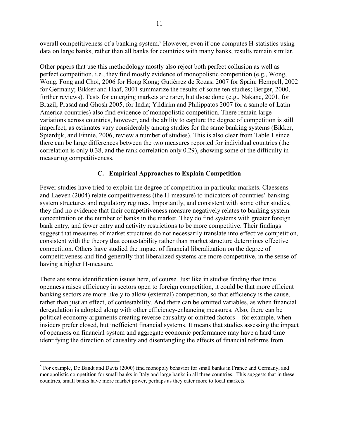overall competitiveness of a banking system.<sup>5</sup> However, even if one computes H-statistics using data on large banks, rather than all banks for countries with many banks, results remain similar.

Other papers that use this methodology mostly also reject both perfect collusion as well as perfect competition, i.e., they find mostly evidence of monopolistic competition (e.g., Wong, Wong, Fong and Choi, 2006 for Hong Kong; Gutiérrez de Rozas, 2007 for Spain; Hempell, 2002 for Germany; Bikker and Haaf, 2001 summarize the results of some ten studies; Berger, 2000, further reviews). Tests for emerging markets are rarer, but those done (e.g., Nakane, 2001, for Brazil; Prasad and Ghosh 2005, for India; Yildirim and Philippatos 2007 for a sample of Latin America countries) also find evidence of monopolistic competition. There remain large variations across countries, however, and the ability to capture the degree of competition is still imperfect, as estimates vary considerably among studies for the same banking systems (Bikker, Spierdijk, and Finnie, 2006, review a number of studies). This is also clear from Table 1 since there can be large differences between the two measures reported for individual countries (the correlation is only 0.38, and the rank correlation only 0.29), showing some of the difficulty in measuring competitiveness.

## **C. Empirical Approaches to Explain Competition**

Fewer studies have tried to explain the degree of competition in particular markets. Claessens and Laeven (2004) relate competitiveness (the H-measure) to indicators of countries' banking system structures and regulatory regimes. Importantly, and consistent with some other studies, they find no evidence that their competitiveness measure negatively relates to banking system concentration or the number of banks in the market. They do find systems with greater foreign bank entry, and fewer entry and activity restrictions to be more competitive. Their findings suggest that measures of market structures do not necessarily translate into effective competition, consistent with the theory that contestability rather than market structure determines effective competition. Others have studied the impact of financial liberalization on the degree of competitiveness and find generally that liberalized systems are more competitive, in the sense of having a higher H-measure.

There are some identification issues here, of course. Just like in studies finding that trade openness raises efficiency in sectors open to foreign competition, it could be that more efficient banking sectors are more likely to allow (external) competition, so that efficiency is the cause, rather than just an effect, of contestability. And there can be omitted variables, as when financial deregulation is adopted along with other efficiency-enhancing measures. Also, there can be political economy arguments creating reverse causality or omitted factors—for example, when insiders prefer closed, but inefficient financial systems. It means that studies assessing the impact of openness on financial system and aggregate economic performance may have a hard time identifying the direction of causality and disentangling the effects of financial reforms from

 $\overline{a}$ 

<sup>&</sup>lt;sup>5</sup> For example, De Bandt and Davis (2000) find monopoly behavior for small banks in France and Germany, and monopolistic competition for small banks in Italy and large banks in all three countries. This suggests that in these countries, small banks have more market power, perhaps as they cater more to local markets.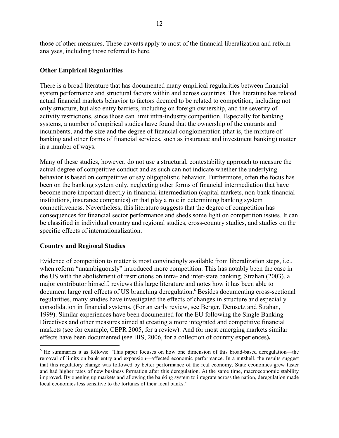those of other measures. These caveats apply to most of the financial liberalization and reform analyses, including those referred to here.

## **Other Empirical Regularities**

There is a broad literature that has documented many empirical regularities between financial system performance and structural factors within and across countries. This literature has related actual financial markets behavior to factors deemed to be related to competition, including not only structure, but also entry barriers, including on foreign ownership, and the severity of activity restrictions, since those can limit intra-industry competition. Especially for banking systems, a number of empirical studies have found that the ownership of the entrants and incumbents, and the size and the degree of financial conglomeration (that is, the mixture of banking and other forms of financial services, such as insurance and investment banking) matter in a number of ways.

Many of these studies, however, do not use a structural, contestability approach to measure the actual degree of competitive conduct and as such can not indicate whether the underlying behavior is based on competitive or say oligopolistic behavior. Furthermore, often the focus has been on the banking system only, neglecting other forms of financial intermediation that have become more important directly in financial intermediation (capital markets, non-bank financial institutions, insurance companies) or that play a role in determining banking system competitiveness. Nevertheless, this literature suggests that the degree of competition has consequences for financial sector performance and sheds some light on competition issues. It can be classified in individual country and regional studies, cross-country studies, and studies on the specific effects of internationalization.

## **Country and Regional Studies**

 $\overline{a}$ 

Evidence of competition to matter is most convincingly available from liberalization steps, i.e., when reform "unambiguously" introduced more competition. This has notably been the case in the US with the abolishment of restrictions on intra- and inter-state banking. Strahan (2003), a major contributor himself, reviews this large literature and notes how it has been able to document large real effects of US branching deregulation.<sup>6</sup> Besides documenting cross-sectional regularities, many studies have investigated the effects of changes in structure and especially consolidation in financial systems. (For an early review, see Berger, Demsetz and Strahan, 1999). Similar experiences have been documented for the EU following the Single Banking Directives and other measures aimed at creating a more integrated and competitive financial markets (see for example, CEPR 2005, for a review). And for most emerging markets similar effects have been documented **(**see BIS, 2006, for a collection of country experiences**).**

<sup>&</sup>lt;sup>6</sup> He summaries it as follows: "This paper focuses on how one dimension of this broad-based deregulation—the removal of limits on bank entry and expansion—affected economic performance. In a nutshell, the results suggest that this regulatory change was followed by better performance of the real economy. State economies grew faster and had higher rates of new business formation after this deregulation. At the same time, macroeconomic stability improved. By opening up markets and allowing the banking system to integrate across the nation, deregulation made local economies less sensitive to the fortunes of their local banks."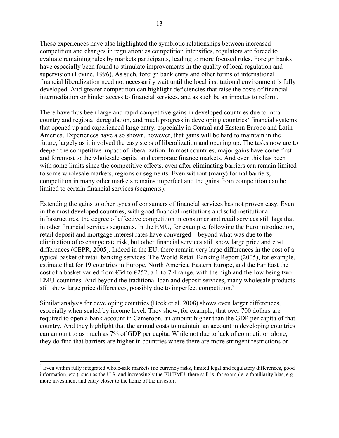These experiences have also highlighted the symbiotic relationships between increased competition and changes in regulation: as competition intensifies, regulators are forced to evaluate remaining rules by markets participants, leading to more focused rules. Foreign banks have especially been found to stimulate improvements in the quality of local regulation and supervision (Levine, 1996). As such, foreign bank entry and other forms of international financial liberalization need not necessarily wait until the local institutional environment is fully developed. And greater competition can highlight deficiencies that raise the costs of financial intermediation or hinder access to financial services, and as such be an impetus to reform.

There have thus been large and rapid competitive gains in developed countries due to intracountry and regional deregulation, and much progress in developing countries' financial systems that opened up and experienced large entry, especially in Central and Eastern Europe and Latin America. Experiences have also shown, however, that gains will be hard to maintain in the future, largely as it involved the easy steps of liberalization and opening up. The tasks now are to deepen the competitive impact of liberalization. In most countries, major gains have come first and foremost to the wholesale capital and corporate finance markets. And even this has been with some limits since the competitive effects, even after eliminating barriers can remain limited to some wholesale markets, regions or segments. Even without (many) formal barriers, competition in many other markets remains imperfect and the gains from competition can be limited to certain financial services (segments).

Extending the gains to other types of consumers of financial services has not proven easy. Even in the most developed countries, with good financial institutions and solid institutional infrastructures, the degree of effective competition in consumer and retail services still lags that in other financial services segments. In the EMU, for example, following the Euro introduction, retail deposit and mortgage interest rates have converged—beyond what was due to the elimination of exchange rate risk, but other financial services still show large price and cost differences (CEPR, 2005). Indeed in the EU, there remain very large differences in the cost of a typical basket of retail banking services. The World Retail Banking Report (2005), for example, estimate that for 19 countries in Europe, North America, Eastern Europe, and the Far East the cost of a basket varied from  $634$  to  $6252$ , a 1-to-7.4 range, with the high and the low being two EMU-countries. And beyond the traditional loan and deposit services, many wholesale products still show large price differences, possibly due to imperfect competition.<sup>7</sup>

Similar analysis for developing countries (Beck et al. 2008) shows even larger differences, especially when scaled by income level. They show, for example, that over 700 dollars are required to open a bank account in Cameroon, an amount higher than the GDP per capita of that country. And they highlight that the annual costs to maintain an account in developing countries can amount to as much as 7% of GDP per capita. While not due to lack of competition alone, they do find that barriers are higher in countries where there are more stringent restrictions on

1

 $7$  Even within fully integrated whole-sale markets (no currency risks, limited legal and regulatory differences, good information, etc.), such as the U.S. and increasingly the EU/EMU, there still is, for example, a familiarity bias, e.g., more investment and entry closer to the home of the investor.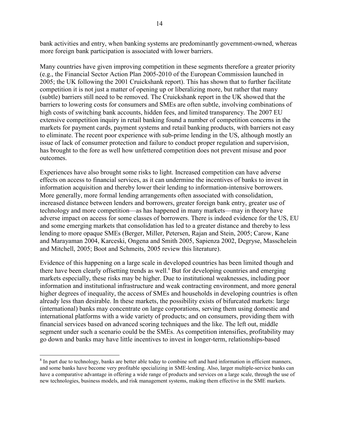bank activities and entry, when banking systems are predominantly government-owned, whereas more foreign bank participation is associated with lower barriers.

Many countries have given improving competition in these segments therefore a greater priority (e.g., the Financial Sector Action Plan 2005-2010 of the European Commission launched in 2005; the UK following the 2001 Cruickshank report). This has shown that to further facilitate competition it is not just a matter of opening up or liberalizing more, but rather that many (subtle) barriers still need to be removed. The Cruickshank report in the UK showed that the barriers to lowering costs for consumers and SMEs are often subtle, involving combinations of high costs of switching bank accounts, hidden fees, and limited transparency. The 2007 EU extensive competition inquiry in retail banking found a number of competition concerns in the markets for payment cards, payment systems and retail banking products, with barriers not easy to eliminate. The recent poor experience with sub-prime lending in the US, although mostly an issue of lack of consumer protection and failure to conduct proper regulation and supervision, has brought to the fore as well how unfettered competition does not prevent misuse and poor outcomes.

Experiences have also brought some risks to light. Increased competition can have adverse effects on access to financial services, as it can undermine the incentives of banks to invest in information acquisition and thereby lower their lending to information-intensive borrowers. More generally, more formal lending arrangements often associated with consolidation, increased distance between lenders and borrowers, greater foreign bank entry, greater use of technology and more competition—as has happened in many markets—may in theory have adverse impact on access for some classes of borrowers. There is indeed evidence for the US, EU and some emerging markets that consolidation has led to a greater distance and thereby to less lending to more opaque SMEs (Berger, Miller, Petersen, Rajan and Stein, 2005; Carow, Kane and Marayaman 2004, Karceski, Ongena and Smith 2005, Sapienza 2002, Degryse, Masschelein and Mitchell, 2005; Boot and Schmeits, 2005 review this literature).

Evidence of this happening on a large scale in developed countries has been limited though and there have been clearly offsetting trends as well.<sup>8</sup> But for developing countries and emerging markets especially, these risks may be higher. Due to institutional weaknesses, including poor information and institutional infrastructure and weak contracting environment, and more general higher degrees of inequality, the access of SMEs and households in developing countries is often already less than desirable. In these markets, the possibility exists of bifurcated markets: large (international) banks may concentrate on large corporations, serving them using domestic and international platforms with a wide variety of products; and on consumers, providing them with financial services based on advanced scoring techniques and the like. The left out, middle segment under such a scenario could be the SMEs. As competition intensifies, profitability may go down and banks may have little incentives to invest in longer-term, relationships-based

1

 $8 \text{ In part due to technology, banks are better able today to combine soft and hard information in efficient managers, }$ and some banks have become very profitable specializing in SME-lending. Also, larger multiple-service banks can have a comparative advantage in offering a wide range of products and services on a large scale, through the use of new technologies, business models, and risk management systems, making them effective in the SME markets.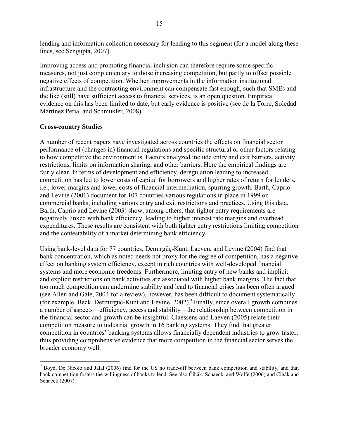lending and information collection necessary for lending to this segment (for a model along these lines, see Sengupta, 2007).

Improving access and promoting financial inclusion can therefore require some specific measures, not just complementary to those increasing competition, but partly to offset possible negative effects of competition. Whether improvements in the information institutional infrastructure and the contracting environment can compensate fast enough, such that SMEs and the like (still) have sufficient access to financial services, is an open question. Empirical evidence on this has been limited to date, but early evidence is positive (see de la Torre, Soledad Martínez Pería, and Schmukler, 2008).

#### **Cross-country Studies**

 $\overline{a}$ 

A number of recent papers have investigated across countries the effects on financial sector performance of (changes in) financial regulations and specific structural or other factors relating to how competitive the environment is. Factors analyzed include entry and exit barriers, activity restrictions, limits on information sharing, and other barriers. Here the empirical findings are fairly clear. In terms of development and efficiency, deregulation leading to increased competition has led to lower costs of capital for borrowers and higher rates of return for lenders, i.e., lower margins and lower costs of financial intermediation, spurring growth. Barth, Caprio and Levine (2001) document for 107 countries various regulations in place in 1999 on commercial banks, including various entry and exit restrictions and practices. Using this data, Barth, Caprio and Levine (2003) show, among others, that tighter entry requirements are negatively linked with bank efficiency, leading to higher interest rate margins and overhead expenditures. These results are consistent with both tighter entry restrictions limiting competition and the contestability of a market determining bank efficiency.

Using bank-level data for 77 countries, Demirgüç-Kunt, Laeven, and Levine (2004) find that bank concentration, which as noted needs not proxy for the degree of competition, has a negative effect on banking system efficiency, except in rich countries with well-developed financial systems and more economic freedoms. Furthermore, limiting entry of new banks and implicit and explicit restrictions on bank activities are associated with higher bank margins. The fact that too much competition can undermine stability and lead to financial crises has been often argued (see Allen and Gale, 2004 for a review), however, has been difficult to document systematically (for example, Beck, Dermirguc-Kunt and Levine, 2002).<sup>9</sup> Finally, since overall growth combines a number of aspects—efficiency, access and stability—the relationship between competition in the financial sector and growth can be insightful. Claessens and Laeven (2005) relate their competition measure to industrial growth in 16 banking systems. They find that greater competition in countries' banking systems allows financially dependent industries to grow faster, thus providing comprehensive evidence that more competition in the financial sector serves the broader economy well.

<sup>&</sup>lt;sup>9</sup> Boyd, De Nicolo and Jalal (2006) find for the US no trade-off between bank competition and stability, and that bank competition fosters the willingness of banks to lend. See also Čihák, Schaeck, and Wolfe (2006) and Čihák and Schaeck (2007).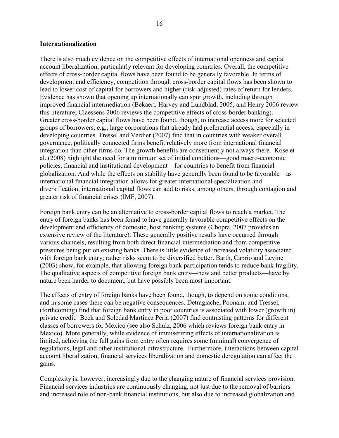#### **Internationalization**

There is also much evidence on the competitive effects of international openness and capital account liberalization, particularly relevant for developing countries. Overall, the competitive effects of cross-border capital flows have been found to be generally favorable. In terms of development and efficiency, competition through cross-border capital flows has been shown to lead to lower cost of capital for borrowers and higher (risk-adjusted) rates of return for lenders. Evidence has shown that opening up internationally can spur growth, including through improved financial intermediation (Bekaert, Harvey and Lundblad, 2005, and Henry 2006 review this literature; Claessens 2006 reviews the competitive effects of cross-border banking). Greater cross-border capital flows have been found, though, to increase access more for selected groups of borrowers, e.g., large corporations that already had preferential access, especially in developing countries. Tressel and Verdier (2007) find that in countries with weaker overall governance, politically connected firms benefit relatively more from international financial integration than other firms do. The growth benefits are consequently not always there. Kose et al. (2008) highlight the need for a minimum set of initial conditions—good macro-economic policies, financial and institutional development—for countries to benefit from financial globalization. And while the effects on stability have generally been found to be favorable—as international financial integration allows for greater international specialization and diversification, international capital flows can add to risks, among others, through contagion and greater risk of financial crises (IMF, 2007).

Foreign bank entry can be an alternative to cross-border capital flows to reach a market. The entry of foreign banks has been found to have generally favorable competitive effects on the development and efficiency of domestic, host banking systems (Chopra, 2007 provides an extensive review of the literature). These generally positive results have occurred through various channels, resulting from both direct financial intermediation and from competitive pressures being put on existing banks. There is little evidence of increased volatility associated with foreign bank entry; rather risks seem to be diversified better. Barth, Caprio and Levine (2003) show, for example, that allowing foreign bank participation tends to reduce bank fragility. The qualitative aspects of competitive foreign bank entry—new and better products—have by nature been harder to document, but have possibly been most important.

The effects of entry of foreign banks have been found, though, to depend on some conditions, and in some cases there can be negative consequences. Detragiache, Poonam, and Tressel, (forthcoming) find that foreign bank entry in poor countries is associated with lower (growth in) private credit. Beck and Soledad Martinez Peria (2007) find contrasting patterns for different classes of borrowers for Mexico (see also Schulz, 2006 which reviews foreign bank entry in Mexico). More generally, while evidence of immiserizing effects of internationalization is limited, achieving the full gains from entry often requires some (minimal) convergence of regulations, legal and other institutional infrastructure. Furthermore, interactions between capital account liberalization, financial services liberalization and domestic deregulation can affect the gains.

Complexity is, however, increasingly due to the changing nature of financial services provision. Financial services industries are continuously changing, not just due to the removal of barriers and increased role of non-bank financial institutions, but also due to increased globalization and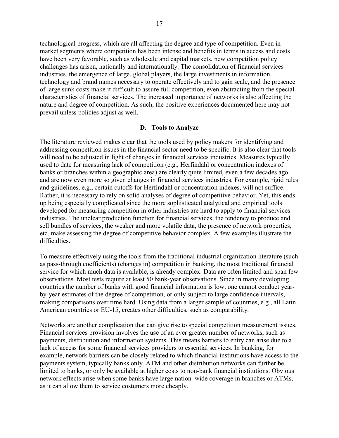technological progress, which are all affecting the degree and type of competition. Even in market segments where competition has been intense and benefits in terms in access and costs have been very favorable, such as wholesale and capital markets, new competition policy challenges has arisen, nationally and internationally. The consolidation of financial services industries, the emergence of large, global players, the large investments in information technology and brand names necessary to operate effectively and to gain scale, and the presence of large sunk costs make it difficult to assure full competition, even abstracting from the special characteristics of financial services. The increased importance of networks is also affecting the nature and degree of competition. As such, the positive experiences documented here may not prevail unless policies adjust as well.

#### **D. Tools to Analyze**

The literature reviewed makes clear that the tools used by policy makers for identifying and addressing competition issues in the financial sector need to be specific. It is also clear that tools will need to be adjusted in light of changes in financial services industries. Measures typically used to date for measuring lack of competition (e.g., Herfindahl or concentration indexes of banks or branches within a geographic area) are clearly quite limited, even a few decades ago and are now even more so given changes in financial services industries. For example, rigid rules and guidelines, e.g., certain cutoffs for Herfindahl or concentration indexes, will not suffice. Rather, it is necessary to rely on solid analyses of degree of competitive behavior. Yet, this ends up being especially complicated since the more sophisticated analytical and empirical tools developed for measuring competition in other industries are hard to apply to financial services industries. The unclear production function for financial services, the tendency to produce and sell bundles of services, the weaker and more volatile data, the presence of network properties, etc. make assessing the degree of competitive behavior complex. A few examples illustrate the difficulties.

To measure effectively using the tools from the traditional industrial organization literature (such as pass-through coefficients) (changes in) competition in banking, the most traditional financial service for which much data is available, is already complex. Data are often limited and span few observations. Most tests require at least 50 bank-year observations. Since in many developing countries the number of banks with good financial information is low, one cannot conduct yearby-year estimates of the degree of competition, or only subject to large confidence intervals, making comparisons over time hard. Using data from a larger sample of countries, e.g., all Latin American countries or EU-15, creates other difficulties, such as comparability.

Networks are another complication that can give rise to special competition measurement issues. Financial services provision involves the use of an ever greater number of networks, such as payments, distribution and information systems. This means barriers to entry can arise due to a lack of access for some financial services providers to essential services. In banking, for example, network barriers can be closely related to which financial institutions have access to the payments system, typically banks only. ATM and other distribution networks can further be limited to banks, or only be available at higher costs to non-bank financial institutions. Obvious network effects arise when some banks have large nation–wide coverage in branches or ATMs, as it can allow them to service costumers more cheaply.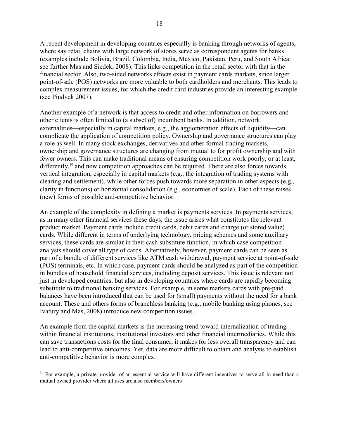18

A recent development in developing countries especially is banking through networks of agents, where say retail chains with large network of stores serve as correspondent agents for banks (examples include Bolivia, Brazil, Colombia, India, Mexico, Pakistan, Peru, and South Africa: see further Mas and Siedek, 2008). This links competition in the retail sector with that in the financial sector. Also, two-sided networks effects exist in payment cards markets, since larger point-of-sale (POS) networks are more valuable to both cardholders and merchants. This leads to complex measurement issues, for which the credit card industries provide an interesting example (see Pindyck 2007).

Another example of a network is that access to credit and other information on borrowers and other clients is often limited to (a subset of) incumbent banks. In addition, network externalities—especially in capital markets, e.g., the agglomeration effects of liquidity—can complicate the application of competition policy. Ownership and governance structures can play a role as well. In many stock exchanges, derivatives and other formal trading markets, ownership and governance structures are changing from mutual to for profit ownership and with fewer owners. This can make traditional means of ensuring competition work poorly, or at least, differently, $10$  and new competition approaches can be required. There are also forces towards vertical integration, especially in capital markets (e.g., the integration of trading systems with clearing and settlement), while other forces push towards more separation in other aspects (e.g., clarity in functions) or horizontal consolidation (e.g., economies of scale). Each of these raises (new) forms of possible anti-competitive behavior.

An example of the complexity in defining a market is payments services. In payments services, as in many other financial services these days, the issue arises what constitutes the relevant product market. Payment cards include credit cards, debit cards and charge (or stored value) cards. While different in terms of underlying technology, pricing schemes and some auxiliary services, these cards are similar in their cash substitute function, in which case competition analysis should cover all type of cards. Alternatively, however, payment cards can be seen as part of a bundle of different services like ATM cash withdrawal, payment service at point-of-sale (POS) terminals, etc. In which case, payment cards should be analyzed as part of the competition in bundles of household financial services, including deposit services. This issue is relevant not just in developed countries, but also in developing countries where cards are rapidly becoming substitute to traditional banking services. For example, in some markets cards with pre-paid balances have been introduced that can be used for (small) payments without the need for a bank account. These and others forms of branchless banking (e.g., mobile banking using phones, see Ivatury and Mas, 2008) introduce new competition issues.

An example from the capital markets is the increasing trend toward internalization of trading within financial institutions, institutional investors and other financial intermediaries. While this can save transactions costs for the final consumer, it makes for less overall transparency and can lead to anti-competitive outcomes. Yet, data are more difficult to obtain and analysis to establish anti-competitive behavior is more complex.

 $\overline{a}$ 

 $10$  For example, a private provider of an essential service will have different incentives to serve all in need than a mutual owned provider where all uses are also members/owners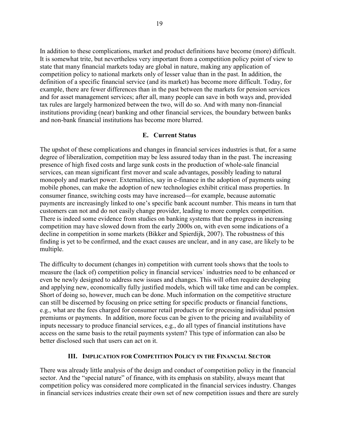In addition to these complications, market and product definitions have become (more) difficult. It is somewhat trite, but nevertheless very important from a competition policy point of view to state that many financial markets today are global in nature, making any application of competition policy to national markets only of lesser value than in the past. In addition, the definition of a specific financial service (and its market) has become more difficult. Today, for example, there are fewer differences than in the past between the markets for pension services and for asset management services; after all, many people can save in both ways and, provided tax rules are largely harmonized between the two, will do so. And with many non-financial institutions providing (near) banking and other financial services, the boundary between banks and non-bank financial institutions has become more blurred.

#### **E. Current Status**

The upshot of these complications and changes in financial services industries is that, for a same degree of liberalization, competition may be less assured today than in the past. The increasing presence of high fixed costs and large sunk costs in the production of whole-sale financial services, can mean significant first mover and scale advantages, possibly leading to natural monopoly and market power. Externalities, say in e-finance in the adoption of payments using mobile phones, can make the adoption of new technologies exhibit critical mass properties. In consumer finance, switching costs may have increased—for example, because automatic payments are increasingly linked to one's specific bank account number. This means in turn that customers can not and do not easily change provider, leading to more complex competition. There is indeed some evidence from studies on banking systems that the progress in increasing competition may have slowed down from the early 2000s on, with even some indications of a decline in competition in some markets (Bikker and Spierdijk, 2007). The robustness of this finding is yet to be confirmed, and the exact causes are unclear, and in any case, are likely to be multiple.

The difficulty to document (changes in) competition with current tools shows that the tools to measure the (lack of) competition policy in financial services` industries need to be enhanced or even be newly designed to address new issues and changes. This will often require developing and applying new, economically fully justified models, which will take time and can be complex. Short of doing so, however, much can be done. Much information on the competitive structure can still be discerned by focusing on price setting for specific products or financial functions, e.g., what are the fees charged for consumer retail products or for processing individual pension premiums or payments. In addition, more focus can be given to the pricing and availability of inputs necessary to produce financial services, e.g., do all types of financial institutions have access on the same basis to the retail payments system? This type of information can also be better disclosed such that users can act on it.

#### **III. IMPLICATION FOR COMPETITION POLICY IN THE FINANCIAL SECTOR**

There was already little analysis of the design and conduct of competition policy in the financial sector. And the "special nature" of finance, with its emphasis on stability, always meant that competition policy was considered more complicated in the financial services industry. Changes in financial services industries create their own set of new competition issues and there are surely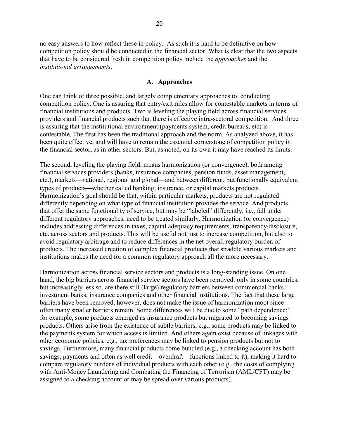no easy answers to how reflect these in policy. As such it is hard to be definitive on how competition policy should be conducted in the financial sector. What is clear that the two aspects that have to be considered fresh in competition policy include the *approaches* and the *institutional arrangements*.

#### **A. Approaches**

One can think of three possible, and largely complementary approaches to conducting competition policy. One is assuring that entry/exit rules allow for contestable markets in terms of financial institutions and products. Two is leveling the playing field across financial services providers and financial products such that there is effective intra-sectoral competition. And three is assuring that the institutional environment (payments system, credit bureaus, etc) is contestable. The first has been the traditional approach and the norm. As analyzed above, it has been quite effective, and will have to remain the essential cornerstone of competition policy in the financial sector, as in other sectors. But, as noted, on its own it may have reached its limits.

The second, leveling the playing field, means harmonization (or convergence), both among financial services providers (banks, insurance companies, pension funds, asset management, etc.), markets—national, regional and global—and between different, but functionally equivalent types of products—whether called banking, insurance, or capital markets products. Harmonization's goal should be that, within particular markets, products are not regulated differently depending on what type of financial institution provides the service. And products that offer the same functionality of service, but may be "labeled" differently, i.e., fall under different regulatory approaches, need to be treated similarly. Harmonization (or convergence) includes addressing differences in taxes, capital adequacy requirements, transparency/disclosure, etc. across sectors and products. This will be useful not just to increase competition, but also to avoid regulatory arbitrage and to reduce differences in the net overall regulatory burden of products. The increased creation of complex financial products that straddle various markets and institutions makes the need for a common regulatory approach all the more necessary.

Harmonization across financial service sectors and products is a long-standing issue. On one hand, the big barriers across financial service sectors have been removed: only in some countries, but increasingly less so, are there still (large) regulatory barriers between commercial banks, investment banks, insurance companies and other financial institutions. The fact that these large barriers have been removed, however, does not make the issue of harmonization moot since often many smaller barriers remain. Some differences will be due to some "path dependence;" for example, some products emerged as insurance products but migrated to becoming savings products. Others arise from the existence of subtle barriers, e.g., some products may be linked to the payments system for which access is limited. And others again exist because of linkages with other economic policies, e.g., tax preferences may be linked to pension products but not to savings. Furthermore, many financial products come bundled (e.g., a checking account has both savings, payments and often as well credit—overdraft—functions linked to it), making it hard to compare regulatory burdens of individual products with each other (e.g., the costs of complying with Anti-Money Laundering and Combating the Financing of Terrorism (AML/CFT) may be assigned to a checking account or may be spread over various products).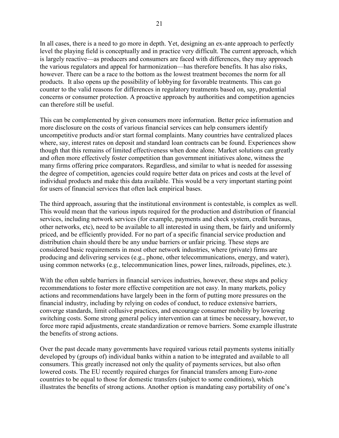In all cases, there is a need to go more in depth. Yet, designing an ex-ante approach to perfectly level the playing field is conceptually and in practice very difficult. The current approach, which is largely reactive—as producers and consumers are faced with differences, they may approach the various regulators and appeal for harmonization—has therefore benefits. It has also risks, however. There can be a race to the bottom as the lowest treatment becomes the norm for all products. It also opens up the possibility of lobbying for favorable treatments. This can go counter to the valid reasons for differences in regulatory treatments based on, say, prudential concerns or consumer protection. A proactive approach by authorities and competition agencies can therefore still be useful.

This can be complemented by given consumers more information. Better price information and more disclosure on the costs of various financial services can help consumers identify uncompetitive products and/or start formal complaints. Many countries have centralized places where, say, interest rates on deposit and standard loan contracts can be found. Experiences show though that this remains of limited effectiveness when done alone. Market solutions can greatly and often more effectively foster competition than government initiatives alone, witness the many firms offering price comparators. Regardless, and similar to what is needed for assessing the degree of competition, agencies could require better data on prices and costs at the level of individual products and make this data available. This would be a very important starting point for users of financial services that often lack empirical bases.

The third approach, assuring that the institutional environment is contestable, is complex as well. This would mean that the various inputs required for the production and distribution of financial services, including network services (for example, payments and check system, credit bureaus, other networks, etc), need to be available to all interested in using them, be fairly and uniformly priced, and be efficiently provided. For no part of a specific financial service production and distribution chain should there be any undue barriers or unfair pricing. These steps are considered basic requirements in most other network industries, where (private) firms are producing and delivering services (e.g., phone, other telecommunications, energy, and water), using common networks (e.g., telecommunication lines, power lines, railroads, pipelines, etc.).

With the often subtle barriers in financial services industries, however, these steps and policy recommendations to foster more effective competition are not easy. In many markets, policy actions and recommendations have largely been in the form of putting more pressures on the financial industry, including by relying on codes of conduct, to reduce extensive barriers, converge standards, limit collusive practices, and encourage consumer mobility by lowering switching costs. Some strong general policy intervention can at times be necessary, however, to force more rapid adjustments, create standardization or remove barriers. Some example illustrate the benefits of strong actions.

Over the past decade many governments have required various retail payments systems initially developed by (groups of) individual banks within a nation to be integrated and available to all consumers. This greatly increased not only the quality of payments services, but also often lowered costs. The EU recently required charges for financial transfers among Euro-zone countries to be equal to those for domestic transfers (subject to some conditions), which illustrates the benefits of strong actions. Another option is mandating easy portability of one's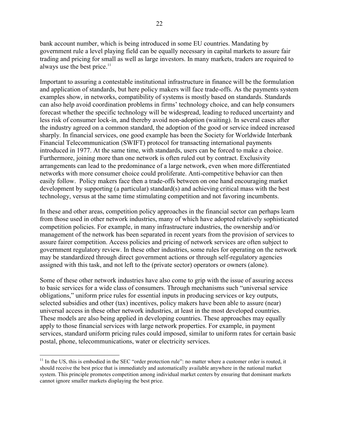bank account number, which is being introduced in some EU countries. Mandating by government rule a level playing field can be equally necessary in capital markets to assure fair trading and pricing for small as well as large investors. In many markets, traders are required to always use the best price.<sup>11</sup>

Important to assuring a contestable institutional infrastructure in finance will be the formulation and application of standards, but here policy makers will face trade-offs. As the payments system examples show, in networks, compatibility of systems is mostly based on standards. Standards can also help avoid coordination problems in firms' technology choice, and can help consumers forecast whether the specific technology will be widespread, leading to reduced uncertainty and less risk of consumer lock-in, and thereby avoid non-adoption (waiting). In several cases after the industry agreed on a common standard, the adoption of the good or service indeed increased sharply. In financial services, one good example has been the Society for Worldwide Interbank Financial Telecommunication (SWIFT) protocol for transacting international payments introduced in 1977. At the same time, with standards, users can be forced to make a choice. Furthermore, joining more than one network is often ruled out by contract. Exclusivity arrangements can lead to the predominance of a large network, even when more differentiated networks with more consumer choice could proliferate. Anti-competitive behavior can then easily follow. Policy makers face then a trade-offs between on one hand encouraging market development by supporting (a particular) standard(s) and achieving critical mass with the best technology, versus at the same time stimulating competition and not favoring incumbents.

In these and other areas, competition policy approaches in the financial sector can perhaps learn from those used in other network industries, many of which have adopted relatively sophisticated competition policies. For example, in many infrastructure industries, the ownership and/or management of the network has been separated in recent years from the provision of services to assure fairer competition. Access policies and pricing of network services are often subject to government regulatory review. In these other industries, some rules for operating on the network may be standardized through direct government actions or through self-regulatory agencies assigned with this task, and not left to the (private sector) operators or owners (alone).

Some of these other network industries have also come to grip with the issue of assuring access to basic services for a wide class of consumers. Through mechanisms such "universal service obligations," uniform price rules for essential inputs in producing services or key outputs, selected subsidies and other (tax) incentives, policy makers have been able to assure (near) universal access in these other network industries, at least in the most developed countries. These models are also being applied in developing countries. These approaches may equally apply to those financial services with large network properties. For example, in payment services, standard uniform pricing rules could imposed, similar to uniform rates for certain basic postal, phone, telecommunications, water or electricity services.

 $\overline{a}$ 

 $11$  In the US, this is embodied in the SEC "order protection rule": no matter where a customer order is routed, it should receive the best price that is immediately and automatically available anywhere in the national market system. This principle promotes competition among individual market centers by ensuring that dominant markets cannot ignore smaller markets displaying the best price.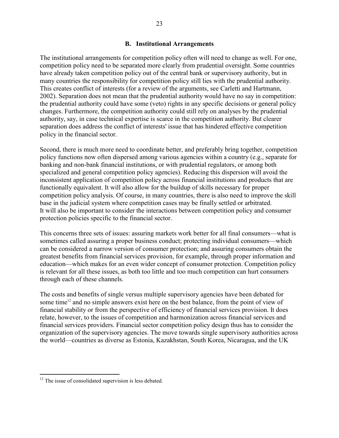#### **B. Institutional Arrangements**

The institutional arrangements for competition policy often will need to change as well. For one, competition policy need to be separated more clearly from prudential oversight. Some countries have already taken competition policy out of the central bank or supervisory authority, but in many countries the responsibility for competition policy still lies with the prudential authority. This creates conflict of interests (for a review of the arguments, see Carletti and Hartmann, 2002). Separation does not mean that the prudential authority would have no say in competition: the prudential authority could have some (veto) rights in any specific decisions or general policy changes. Furthermore, the competition authority could still rely on analyses by the prudential authority, say, in case technical expertise is scarce in the competition authority. But clearer separation does address the conflict of interests' issue that has hindered effective competition policy in the financial sector.

Second, there is much more need to coordinate better, and preferably bring together, competition policy functions now often dispersed among various agencies within a country (e.g., separate for banking and non-bank financial institutions, or with prudential regulators, or among both specialized and general competition policy agencies). Reducing this dispersion will avoid the inconsistent application of competition policy across financial institutions and products that are functionally equivalent. It will also allow for the buildup of skills necessary for proper competition policy analysis. Of course, in many countries, there is also need to improve the skill base in the judicial system where competition cases may be finally settled or arbitrated. It will also be important to consider the interactions between competition policy and consumer protection policies specific to the financial sector.

This concerns three sets of issues: assuring markets work better for all final consumers—what is sometimes called assuring a proper business conduct; protecting individual consumers—which can be considered a narrow version of consumer protection; and assuring consumers obtain the greatest benefits from financial services provision, for example, through proper information and education—which makes for an even wider concept of consumer protection. Competition policy is relevant for all these issues, as both too little and too much competition can hurt consumers through each of these channels.

The costs and benefits of single versus multiple supervisory agencies have been debated for some time<sup>12</sup> and no simple answers exist here on the best balance, from the point of view of financial stability or from the perspective of efficiency of financial services provision. It does relate, however, to the issues of competition and harmonization across financial services and financial services providers. Financial sector competition policy design thus has to consider the organization of the supervisory agencies. The move towards single supervisory authorities across the world—countries as diverse as Estonia, Kazakhstan, South Korea, Nicaragua, and the UK

1

<sup>&</sup>lt;sup>12</sup> The issue of consolidated supervision is less debated.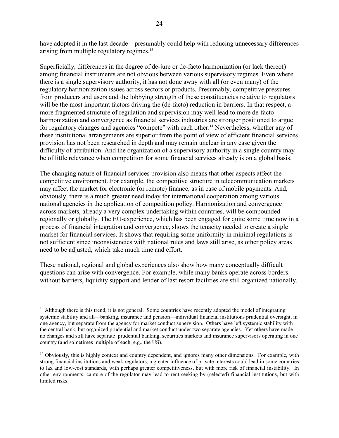have adopted it in the last decade—presumably could help with reducing unnecessary differences arising from multiple regulatory regimes.<sup>13</sup>

Superficially, differences in the degree of de-jure or de-facto harmonization (or lack thereof) among financial instruments are not obvious between various supervisory regimes. Even where there is a single supervisory authority, it has not done away with all (or even many) of the regulatory harmonization issues across sectors or products. Presumably, competitive pressures from producers and users and the lobbying strength of these constituencies relative to regulators will be the most important factors driving the (de-facto) reduction in barriers. In that respect, a more fragmented structure of regulation and supervision may well lead to more de-facto harmonization and convergence as financial services industries are stronger positioned to argue for regulatory changes and agencies "compete" with each other.<sup>14</sup> Nevertheless, whether any of these institutional arrangements are superior from the point of view of efficient financial services provision has not been researched in depth and may remain unclear in any case given the difficulty of attribution. And the organization of a supervisory authority in a single country may be of little relevance when competition for some financial services already is on a global basis.

The changing nature of financial services provision also means that other aspects affect the competitive environment. For example, the competitive structure in telecommunication markets may affect the market for electronic (or remote) finance, as in case of mobile payments. And, obviously, there is a much greater need today for international cooperation among various national agencies in the application of competition policy. Harmonization and convergence across markets, already a very complex undertaking within countries, will be compounded regionally or globally. The EU-experience, which has been engaged for quite some time now in a process of financial integration and convergence, shows the tenacity needed to create a single market for financial services. It shows that requiring some uniformity in minimal regulations is not sufficient since inconsistencies with national rules and laws still arise, as other policy areas need to be adjusted, which take much time and effort.

These national, regional and global experiences also show how many conceptually difficult questions can arise with convergence. For example, while many banks operate across borders without barriers, liquidity support and lender of last resort facilities are still organized nationally.

<u>.</u>

 $13$  Although there is this trend, it is not general. Some countries have recently adopted the model of integrating systemic stability and all—banking, insurance and pension—individual financial institutions prudential oversight, in one agency, but separate from the agency for market conduct supervision. Others have left systemic stability with the central bank, but organized prudential and market conduct under two separate agencies. Yet others have made no changes and still have separate prudential banking, securities markets and insurance supervisors operating in one country (and sometimes multiple of each, e.g., the US).

<sup>&</sup>lt;sup>14</sup> Obviously, this is highly context and country dependent, and ignores many other dimensions. For example, with strong financial institutions and weak regulators, a greater influence of private interests could lead in some countries to lax and low-cost standards, with perhaps greater competitiveness, but with more risk of financial instability. In other environments, capture of the regulator may lead to rent-seeking by (selected) financial institutions, but with limited risks.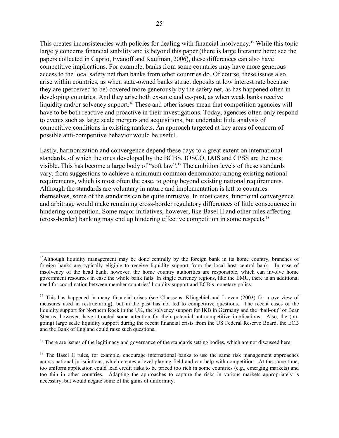This creates inconsistencies with policies for dealing with financial insolvency.15 While this topic largely concerns financial stability and is beyond this paper (there is large literature here; see the papers collected in Caprio, Evanoff and Kaufman, 2006), these differences can also have competitive implications. For example, banks from some countries may have more generous access to the local safety net than banks from other countries do. Of course, these issues also arise within countries, as when state-owned banks attract deposits at low interest rate because they are (perceived to be) covered more generously by the safety net, as has happened often in developing countries. And they arise both ex-ante and ex-post, as when weak banks receive liquidity and/or solvency support.<sup>16</sup> These and other issues mean that competition agencies will have to be both reactive and proactive in their investigations. Today, agencies often only respond to events such as large scale mergers and acquisitions, but undertake little analysis of competitive conditions in existing markets. An approach targeted at key areas of concern of possible anti-competitive behavior would be useful.

Lastly, harmonization and convergence depend these days to a great extent on international standards, of which the ones developed by the BCBS, IOSCO, IAIS and CPSS are the most visible. This has become a large body of "soft law".17 The ambition levels of these standards vary, from suggestions to achieve a minimum common denominator among existing national requirements, which is most often the case, to going beyond existing national requirements. Although the standards are voluntary in nature and implementation is left to countries themselves, some of the standards can be quite intrusive. In most cases, functional convergence and arbitrage would make remaining cross-border regulatory differences of little consequence in hindering competition. Some major initiatives, however, like Basel II and other rules affecting (cross-border) banking may end up hindering effective competition in some respects.18

<u>.</u>

<sup>&</sup>lt;sup>15</sup>Although liquidity management may be done centrally by the foreign bank in its home country, branches of foreign banks are typically eligible to receive liquidity support from the local host central bank. In case of insolvency of the head bank, however, the home country authorities are responsible, which can involve home government resources in case the whole bank fails. In single currency regions, like the EMU, there is an additional need for coordination between member countries' liquidity support and ECB's monetary policy.

<sup>&</sup>lt;sup>16</sup> This has happened in many financial crises (see Claessens, Klingebiel and Laeven (2003) for a overview of measures used in restructuring), but in the past has not led to competitive questions. The recent cases of the liquidity support for Northern Rock in the UK, the solvency support for IKB in Germany and the "bail-out" of Bear Stearns, however, have attracted some attention for their potential ant-competitive implications. Also, the (ongoing) large scale liquidity support during the recent financial crisis from the US Federal Reserve Board, the ECB and the Bank of England could raise such questions.

<sup>&</sup>lt;sup>17</sup> There are issues of the legitimacy and governance of the standards setting bodies, which are not discussed here.

<sup>&</sup>lt;sup>18</sup> The Basel II rules, for example, encourage international banks to use the same risk management approaches across national jurisdictions, which creates a level playing field and can help with competition. At the same time, too uniform application could lead credit risks to be priced too rich in some countries (e.g., emerging markets) and too thin in other countries. Adapting the approaches to capture the risks in various markets appropriately is necessary, but would negate some of the gains of uniformity.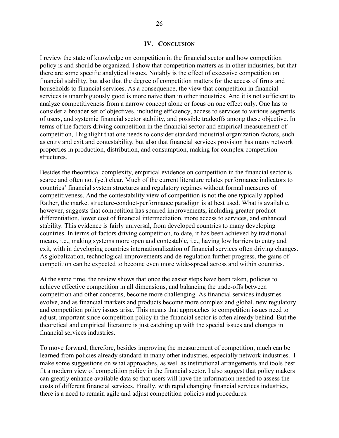#### **IV. CONCLUSION**

I review the state of knowledge on competition in the financial sector and how competition policy is and should be organized. I show that competition matters as in other industries, but that there are some specific analytical issues. Notably is the effect of excessive competition on financial stability, but also that the degree of competition matters for the access of firms and households to financial services. As a consequence, the view that competition in financial services is unambiguously good is more naive than in other industries. And it is not sufficient to analyze competitiveness from a narrow concept alone or focus on one effect only. One has to consider a broader set of objectives, including efficiency, access to services to various segments of users, and systemic financial sector stability, and possible tradeoffs among these objective. In terms of the factors driving competition in the financial sector and empirical measurement of competition, I highlight that one needs to consider standard industrial organization factors, such as entry and exit and contestability, but also that financial services provision has many network properties in production, distribution, and consumption, making for complex competition structures.

Besides the theoretical complexity, empirical evidence on competition in the financial sector is scarce and often not (yet) clear. Much of the current literature relates performance indicators to countries' financial system structures and regulatory regimes without formal measures of competitiveness. And the contestability view of competition is not the one typically applied. Rather, the market structure-conduct-performance paradigm is at best used. What is available, however, suggests that competition has spurred improvements, including greater product differentiation, lower cost of financial intermediation, more access to services, and enhanced stability. This evidence is fairly universal, from developed countries to many developing countries. In terms of factors driving competition, to date, it has been achieved by traditional means, i.e., making systems more open and contestable, i.e., having low barriers to entry and exit, with in developing countries internationalization of financial services often driving changes. As globalization, technological improvements and de-regulation further progress, the gains of competition can be expected to become even more wide-spread across and within countries.

At the same time, the review shows that once the easier steps have been taken, policies to achieve effective competition in all dimensions, and balancing the trade-offs between competition and other concerns, become more challenging. As financial services industries evolve, and as financial markets and products become more complex and global, new regulatory and competition policy issues arise. This means that approaches to competition issues need to adjust, important since competition policy in the financial sector is often already behind. But the theoretical and empirical literature is just catching up with the special issues and changes in financial services industries.

To move forward, therefore, besides improving the measurement of competition, much can be learned from policies already standard in many other industries, especially network industries. I make some suggestions on what approaches, as well as institutional arrangements and tools best fit a modern view of competition policy in the financial sector. I also suggest that policy makers can greatly enhance available data so that users will have the information needed to assess the costs of different financial services. Finally, with rapid changing financial services industries, there is a need to remain agile and adjust competition policies and procedures.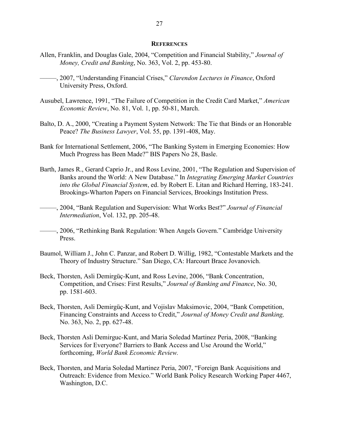#### **REFERENCES**

- Allen, Franklin, and Douglas Gale, 2004, "Competition and Financial Stability," *Journal of Money, Credit and Banking*, No. 363, Vol. 2, pp. 453-80.
- –––––, 2007, "Understanding Financial Crises," *Clarendon Lectures in Finance*, Oxford University Press, Oxford.
- Ausubel, Lawrence, 1991, "The Failure of Competition in the Credit Card Market," *American Economic Review*, No. 81, Vol. 1, pp. 50-81, March.
- Balto, D. A., 2000, "Creating a Payment System Network: The Tie that Binds or an Honorable Peace? *The Business Lawyer*, Vol. 55, pp. 1391-408, May.
- Bank for International Settlement, 2006, "The Banking System in Emerging Economies: How Much Progress has Been Made?" BIS Papers No 28, Basle.
- Barth, James R., Gerard Caprio Jr., and Ross Levine, 2001, "The Regulation and Supervision of Banks around the World: A New Database." In *Integrating Emerging Market Countries into the Global Financial System*, ed. by Robert E. Litan and Richard Herring, 183-241. Brookings-Wharton Papers on Financial Services, Brookings Institution Press.
- –––––, 2004, "Bank Regulation and Supervision: What Works Best?" *Journal of Financial Intermediation*, Vol. 132, pp. 205-48.
- –––––, 2006, "Rethinking Bank Regulation: When Angels Govern." Cambridge University Press.
- Baumol, William J., John C. Panzar, and Robert D. Willig, 1982, "Contestable Markets and the Theory of Industry Structure." San Diego, CA: Harcourt Brace Jovanovich.
- Beck, Thorsten, Asli Demirgüç-Kunt, and Ross Levine, 2006, "Bank Concentration, Competition, and Crises: First Results," *Journal of Banking and Finance*, No. 30, pp. 1581-603.
- Beck, Thorsten, Asli Demirgüç-Kunt, and Vojislav Maksimovic, 2004, "Bank Competition, Financing Constraints and Access to Credit," *Journal of Money Credit and Banking,* No. 363, No. 2, pp. 627-48.
- Beck, Thorsten Asli Demirguc-Kunt, and Maria Soledad Martinez Peria, 2008, "Banking Services for Everyone? Barriers to Bank Access and Use Around the World," forthcoming, *World Bank Economic Review.*
- Beck, Thorsten, and Maria Soledad Martinez Peria, 2007, "Foreign Bank Acquisitions and Outreach: Evidence from Mexico." World Bank Policy Research Working Paper 4467, Washington, D.C.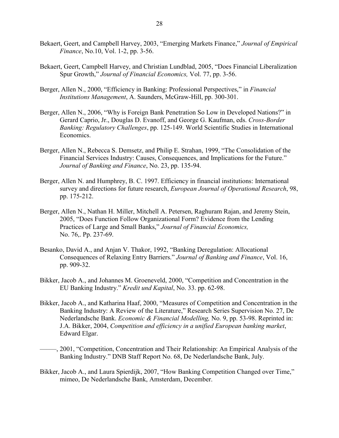- Bekaert, Geert, and Campbell Harvey, 2003, "Emerging Markets Finance," *Journal of Empirical Finance*, No.10, Vol. 1-2, pp. 3-56.
- Bekaert, Geert, Campbell Harvey, and Christian Lundblad, 2005, "Does Financial Liberalization Spur Growth," *Journal of Financial Economics,* Vol. 77, pp. 3-56.
- Berger, Allen N., 2000, "Efficiency in Banking: Professional Perspectives," in *Financial Institutions Management*, A. Saunders, McGraw-Hill, pp. 300-301.
- Berger, Allen N., 2006, "Why is Foreign Bank Penetration So Low in Developed Nations?" in Gerard Caprio, Jr., Douglas D. Evanoff, and George G. Kaufman, eds. *Cross-Border Banking: Regulatory Challenges*, pp. 125-149. World Scientific Studies in International Economics.
- Berger, Allen N., Rebecca S. Demsetz, and Philip E. Strahan, 1999, "The Consolidation of the Financial Services Industry: Causes, Consequences, and Implications for the Future." *Journal of Banking and Finance*, No. 23, pp. 135-94.
- Berger, Allen N. and Humphrey, B. C. 1997. Efficiency in financial institutions: International survey and directions for future research, *European Journal of Operational Research*, 98, pp. 175-212.
- Berger, Allen N., Nathan H. Miller, Mitchell A. Petersen, Raghuram Rajan, and Jeremy Stein, 2005, "Does Function Follow Organizational Form? Evidence from the Lending Practices of Large and Small Banks," *Journal of Financial Economics,* No. 76,. Pp. 237-69.
- Besanko, David A., and Anjan V. Thakor, 1992, "Banking Deregulation: Allocational Consequences of Relaxing Entry Barriers." *Journal of Banking and Finance*, Vol. 16, pp. 909-32.
- Bikker, Jacob A., and Johannes M. Groeneveld, 2000, "Competition and Concentration in the EU Banking Industry." *Kredit und Kapital*, No. 33. pp. 62-98.
- Bikker, Jacob A., and Katharina Haaf, 2000, "Measures of Competition and Concentration in the Banking Industry: A Review of the Literature," Research Series Supervision No. 27, De Nederlandsche Bank. *Economic & Financial Modelling,* No. 9, pp. 53-98. Reprinted in: J.A. Bikker, 2004, *Competition and efficiency in a unified European banking market*, Edward Elgar.
- –––––, 2001, "Competition, Concentration and Their Relationship: An Empirical Analysis of the Banking Industry." DNB Staff Report No. 68, De Nederlandsche Bank, July.
- Bikker, Jacob A., and Laura Spierdijk, 2007, "How Banking Competition Changed over Time," mimeo, De Nederlandsche Bank, Amsterdam, December.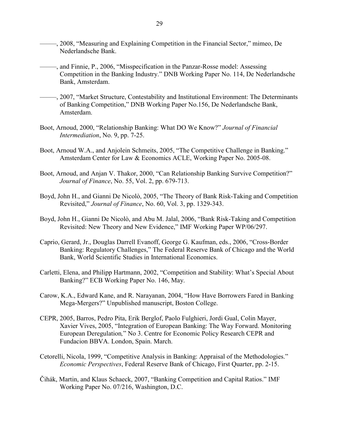- –––––, 2008, "Measuring and Explaining Competition in the Financial Sector," mimeo, De Nederlandsche Bank.
- –––––, and Finnie, P., 2006, "Misspecification in the Panzar-Rosse model: Assessing Competition in the Banking Industry." DNB Working Paper No. 114, De Nederlandsche Bank, Amsterdam.
- –––––, 2007, "Market Structure, Contestability and Institutional Environment: The Determinants of Banking Competition," DNB Working Paper No.156, De Nederlandsche Bank, Amsterdam.
- Boot, Arnoud, 2000, "Relationship Banking: What DO We Know?" *Journal of Financial Intermediation*, No. 9, pp. 7-25.
- Boot, Arnoud W.A., and Anjolein Schmeits, 2005, "The Competitive Challenge in Banking." Amsterdam Center for Law & Economics ACLE, Working Paper No. 2005-08.
- Boot, Arnoud, and Anjan V. Thakor, 2000, "Can Relationship Banking Survive Competition?" *Journal of Finance*, No. 55, Vol. 2, pp. 679-713.
- Boyd, John H., and Gianni De Nicolò, 2005, "The Theory of Bank Risk-Taking and Competition Revisited," *Journal of Finance*, No. 60, Vol. 3, pp. 1329-343.
- Boyd, John H., Gianni De Nicolò, and Abu M. Jalal, 2006, "Bank Risk-Taking and Competition Revisited: New Theory and New Evidence," IMF Working Paper WP/06/297.
- Caprio, Gerard, Jr., Douglas Darrell Evanoff, George G. Kaufman, eds., 2006, "Cross-Border Banking: Regulatory Challenges," The Federal Reserve Bank of Chicago and the World Bank, World Scientific Studies in International Economics.
- Carletti, Elena, and Philipp Hartmann, 2002, "Competition and Stability: What's Special About Banking?" ECB Working Paper No. 146, May.
- Carow, K.A., Edward Kane, and R. Narayanan, 2004, "How Have Borrowers Fared in Banking Mega-Mergers?" Unpublished manuscript, Boston College.
- CEPR, 2005, Barros, Pedro Pita, Erik Berglof, Paolo Fulghieri, Jordi Gual, Colin Mayer, Xavier Vives, 2005, "Integration of European Banking: The Way Forward. Monitoring European Deregulation*,*" No 3. Centre for Economic Policy Research CEPR and Fundacion BBVA. London, Spain. March.
- Cetorelli, Nicola, 1999, "Competitive Analysis in Banking: Appraisal of the Methodologies." *Economic Perspectives*, Federal Reserve Bank of Chicago, First Quarter, pp. 2-15.
- Čihák, Martin, and Klaus Schaeck, 2007, "Banking Competition and Capital Ratios." IMF Working Paper No. 07/216, Washington, D.C.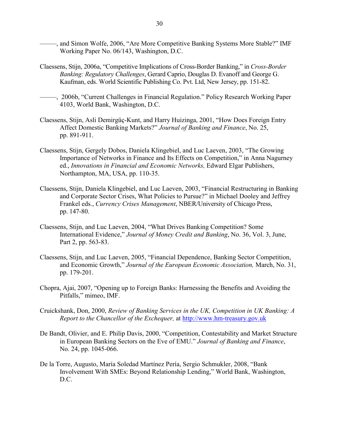- –––––, and Simon Wolfe, 2006, "Are More Competitive Banking Systems More Stable?" IMF Working Paper No. 06/143, Washington, D.C.
- Claessens, Stijn, 2006a, "Competitive Implications of Cross-Border Banking," in *Cross-Border Banking: Regulatory Challenges*, Gerard Caprio, Douglas D. Evanoff and George G. Kaufman, eds. World Scientific Publishing Co. Pvt. Ltd, New Jersey, pp. 151-82.
- –––––, 2006b, "Current Challenges in Financial Regulation." Policy Research Working Paper 4103, World Bank, Washington, D.C.
- Claessens, Stijn, Asli Demirgüç-Kunt, and Harry Huizinga, 2001, "How Does Foreign Entry Affect Domestic Banking Markets?" *Journal of Banking and Finance*, No. 25, pp. 891-911.
- Claessens, Stijn, Gergely Dobos, Daniela Klingebiel, and Luc Laeven, 2003, "The Growing Importance of Networks in Finance and Its Effects on Competition," in Anna Nagurney ed., *Innovations in Financial and Economic Networks,* Edward Elgar Publishers, Northampton, MA, USA, pp. 110-35.
- Claessens, Stijn, Daniela Klingebiel, and Luc Laeven, 2003, "Financial Restructuring in Banking and Corporate Sector Crises, What Policies to Pursue?" in Michael Dooley and Jeffrey Frankel eds., *Currency Crises Management*, NBER/University of Chicago Press, pp. 147-80.
- Claessens, Stijn, and Luc Laeven, 2004, "What Drives Banking Competition? Some International Evidence," *Journal of Money Credit and Banking*, No. 36, Vol. 3, June, Part 2, pp. 563-83.
- Claessens, Stijn, and Luc Laeven, 2005, "Financial Dependence, Banking Sector Competition, and Economic Growth," *Journal of the European Economic Association,* March, No. 31, pp. 179-201.
- Chopra, Ajai, 2007, "Opening up to Foreign Banks: Harnessing the Benefits and Avoiding the Pitfalls," mimeo, IMF.
- Cruickshank, Don, 2000, *Review of Banking Services in the UK, Competition in UK Banking: A Report to the Chancellor of the Exchequer,* at http://www.hm-treasury.gov.uk
- De Bandt, Olivier, and E. Philip Davis, 2000, "Competition, Contestability and Market Structure in European Banking Sectors on the Eve of EMU." *Journal of Banking and Finance*, No. 24, pp. 1045-066.
- De la Torre, Augusto, María Soledad Martínez Pería, Sergio Schmukler, 2008, "Bank Involvement With SMEs: Beyond Relationship Lending," World Bank, Washington, D.C.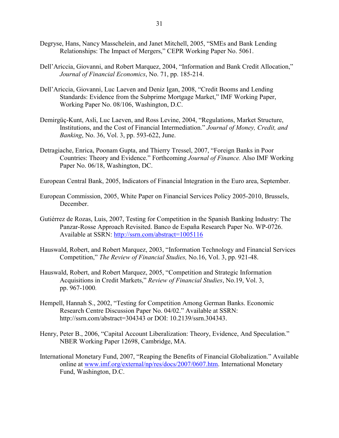- Degryse, Hans, Nancy Masschelein, and Janet Mitchell, 2005, "SMEs and Bank Lending Relationships: The Impact of Mergers," CEPR Working Paper No. 5061.
- Dell'Ariccia, Giovanni, and Robert Marquez, 2004, "Information and Bank Credit Allocation," *Journal of Financial Economics*, No. 71, pp. 185-214.
- Dell'Ariccia, Giovanni, Luc Laeven and Deniz Igan, 2008, "Credit Booms and Lending Standards: Evidence from the Subprime Mortgage Market," IMF Working Paper, Working Paper No. 08/106, Washington, D.C.
- Demirgüç-Kunt, Asli, Luc Laeven, and Ross Levine, 2004, "Regulations, Market Structure, Institutions, and the Cost of Financial Intermediation." *Journal of Money, Credit, and Banking*, No. 36, Vol. 3, pp. 593-622, June.
- Detragiache, Enrica, Poonam Gupta, and Thierry Tressel, 2007, "Foreign Banks in Poor Countries: Theory and Evidence." Forthcoming *Journal of Finance.* Also IMF Working Paper No. 06/18, Washington, DC.

European Central Bank, 2005, Indicators of Financial Integration in the Euro area, September.

- European Commission, 2005, White Paper on Financial Services Policy 2005-2010, Brussels, December.
- Gutiérrez de Rozas, Luis, 2007, Testing for Competition in the Spanish Banking Industry: The Panzar-Rosse Approach Revisited. Banco de España Research Paper No. WP-0726. Available at SSRN: http://ssrn.com/abstract=1005116
- Hauswald, Robert, and Robert Marquez, 2003, "Information Technology and Financial Services Competition," *The Review of Financial Studies,* No.16, Vol. 3, pp. 921-48.
- Hauswald, Robert, and Robert Marquez, 2005, "Competition and Strategic Information Acquisitions in Credit Markets," *Review of Financial Studies*, No.19, Vol. 3, pp. 967-1000.
- Hempell, Hannah S., 2002, "Testing for Competition Among German Banks. Economic Research Centre Discussion Paper No. 04/02." Available at SSRN: http://ssrn.com/abstract=304343 or DOI: 10.2139/ssrn.304343.
- Henry, Peter B., 2006, "Capital Account Liberalization: Theory, Evidence, And Speculation." NBER Working Paper 12698, Cambridge, MA.
- International Monetary Fund, 2007, "Reaping the Benefits of Financial Globalization." Available online at www.imf.org/external/np/res/docs/2007/0607.htm. International Monetary Fund, Washington, D.C.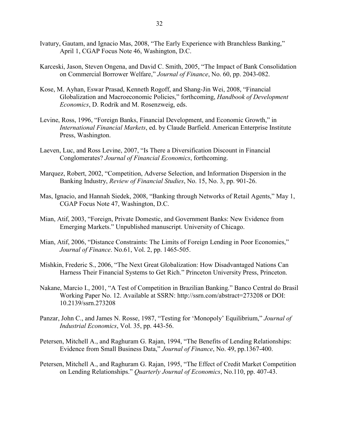- Ivatury, Gautam, and Ignacio Mas, 2008, "The Early Experience with Branchless Banking," April 1, CGAP Focus Note 46, Washington, D.C.
- Karceski, Jason, Steven Ongena, and David C. Smith, 2005, "The Impact of Bank Consolidation on Commercial Borrower Welfare," *Journal of Finance*, No. 60, pp. 2043-082.
- Kose, M. Ayhan, Eswar Prasad, Kenneth Rogoff, and Shang-Jin Wei, 2008, "Financial Globalization and Macroeconomic Policies," forthcoming, *Handbook of Development Economics*, D. Rodrik and M. Rosenzweig, eds.
- Levine, Ross, 1996, "Foreign Banks, Financial Development, and Economic Growth," in *International Financial Markets*, ed. by Claude Barfield. American Enterprise Institute Press, Washington.
- Laeven, Luc, and Ross Levine, 2007, "Is There a Diversification Discount in Financial Conglomerates? *Journal of Financial Economics*, forthcoming.
- Marquez, Robert, 2002, "Competition, Adverse Selection, and Information Dispersion in the Banking Industry, *Review of Financial Studies*, No. 15, No. 3, pp. 901-26.
- Mas, Ignacio, and Hannah Siedek, 2008, "Banking through Networks of Retail Agents," May 1, CGAP Focus Note 47, Washington, D.C.
- Mian, Atif, 2003, "Foreign, Private Domestic, and Government Banks: New Evidence from Emerging Markets." Unpublished manuscript. University of Chicago.
- Mian, Atif, 2006, "Distance Constraints: The Limits of Foreign Lending in Poor Economies," *Journal of Finance*. No.61, Vol. 2, pp. 1465-505.
- Mishkin, Frederic S., 2006, "The Next Great Globalization: How Disadvantaged Nations Can Harness Their Financial Systems to Get Rich." Princeton University Press, Princeton.
- Nakane, Marcio I., 2001, "A Test of Competition in Brazilian Banking." Banco Central do Brasil Working Paper No. 12. Available at SSRN: http://ssrn.com/abstract=273208 or DOI: 10.2139/ssrn.273208
- Panzar, John C., and James N. Rosse, 1987, "Testing for 'Monopoly' Equilibrium," *Journal of Industrial Economics*, Vol. 35, pp. 443-56.
- Petersen, Mitchell A., and Raghuram G. Rajan, 1994, "The Benefits of Lending Relationships: Evidence from Small Business Data," *Journal of Finance*, No. 49, pp.1367-400.
- Petersen, Mitchell A., and Raghuram G. Rajan, 1995, "The Effect of Credit Market Competition on Lending Relationships." *Quarterly Journal of Economics*, No.110, pp. 407-43.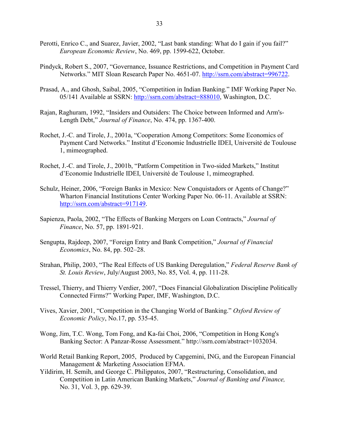- Perotti, Enrico C., and Suarez, Javier, 2002, "Last bank standing: What do I gain if you fail?" *European Economic Review*, No. 469, pp. 1599-622, October.
- Pindyck, Robert S., 2007, "Governance, Issuance Restrictions, and Competition in Payment Card Networks." MIT Sloan Research Paper No. 4651-07. http://ssrn.com/abstract=996722.
- Prasad, A., and Ghosh, Saibal, 2005, "Competition in Indian Banking." IMF Working Paper No. 05/141 Available at SSRN: http://ssrn.com/abstract=888010, Washington, D.C.
- Rajan, Raghuram, 1992, "Insiders and Outsiders: The Choice between Informed and Arm's-Length Debt," *Journal of Finance*, No. 474, pp. 1367-400.
- Rochet, J.-C. and Tirole, J., 2001a, "Cooperation Among Competitors: Some Economics of Payment Card Networks." Institut d'Economie Industrielle IDEI, Université de Toulouse 1, mimeographed.
- Rochet, J.-C. and Tirole, J., 2001b, "Patform Competition in Two-sided Markets," Institut d'Economie Industrielle IDEI, Université de Toulouse 1, mimeographed.
- Schulz, Heiner, 2006, "Foreign Banks in Mexico: New Conquistadors or Agents of Change?" Wharton Financial Institutions Center Working Paper No. 06-11. Available at SSRN: http://ssrn.com/abstract=917149.
- Sapienza, Paola, 2002, "The Effects of Banking Mergers on Loan Contracts," *Journal of Finance*, No. 57, pp. 1891-921.
- Sengupta, Rajdeep, 2007, "Foreign Entry and Bank Competition," *Journal of Financial Economics*, No. 84, pp. 502–28.
- Strahan, Philip, 2003, "The Real Effects of US Banking Deregulation," *Federal Reserve Bank of St. Louis Review*, July/August 2003, No. 85, Vol. 4, pp. 111-28.
- Tressel, Thierry, and Thierry Verdier, 2007, "Does Financial Globalization Discipline Politically Connected Firms?" Working Paper, IMF, Washington, D.C.
- Vives, Xavier, 2001, "Competition in the Changing World of Banking." *Oxford Review of Economic Policy*, No.17, pp. 535-45.
- Wong, Jim, T.C. Wong, Tom Fong, and Ka-fai Choi, 2006, "Competition in Hong Kong's Banking Sector: A Panzar-Rosse Assessment." http://ssrn.com/abstract=1032034.
- World Retail Banking Report, 2005, Produced by Capgemini, ING, and the European Financial Management & Marketing Association EFMA.
- Yildirim, H. Semih, and George C. Philippatos, 2007, "Restructuring, Consolidation, and Competition in Latin American Banking Markets," *Journal of Banking and Finance,* No. 31, Vol. 3, pp. 629-39.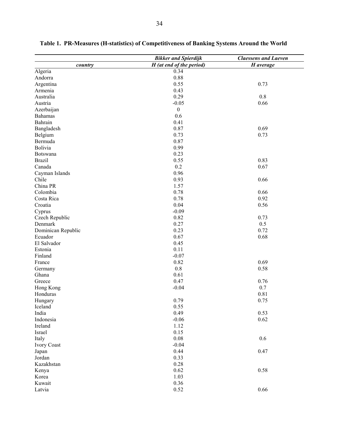|                    | <b>Bikker and Spierdijk</b> | <b>Claessens and Laeven</b> |
|--------------------|-----------------------------|-----------------------------|
| country            | H (at end of the period)    | H average                   |
| Algeria            | 0.34                        |                             |
| Andorra            | 0.88                        |                             |
| Argentina          | 0.55                        | 0.73                        |
| Armenia            | 0.43                        |                             |
| Australia          | 0.29                        | 0.8                         |
| Austria            | $-0.05$                     | 0.66                        |
| Azerbaijan         | $\boldsymbol{0}$            |                             |
| <b>Bahamas</b>     | 0.6                         |                             |
| Bahrain            | 0.41                        |                             |
| Bangladesh         | 0.87                        | 0.69                        |
| Belgium            | 0.73                        | 0.73                        |
| Bermuda            | 0.87                        |                             |
| Bolivia            | 0.99                        |                             |
| Botswana           | 0.23                        |                             |
| <b>Brazil</b>      | 0.55                        | 0.83                        |
| Canada             | 0.2                         | 0.67                        |
| Cayman Islands     | 0.96                        |                             |
| Chile              | 0.93                        | 0.66                        |
| China PR           | 1.57                        |                             |
| Colombia           | 0.78                        | 0.66                        |
| Costa Rica         | 0.78                        | 0.92                        |
| Croatia            | 0.04                        | 0.56                        |
| Cyprus             | $-0.09$                     |                             |
| Czech Republic     | 0.82                        | 0.73                        |
| Denmark            | 0.27                        | 0.5                         |
| Dominican Republic | 0.23                        | 0.72                        |
| Ecuador            | 0.67                        | 0.68                        |
| El Salvador        | 0.45                        |                             |
| Estonia            | 0.11                        |                             |
| Finland            | $-0.07$                     |                             |
| France             | 0.82                        | 0.69                        |
| Germany            | $0.8\,$                     | 0.58                        |
| Ghana              | 0.61                        |                             |
| Greece             | 0.47                        | 0.76                        |
| Hong Kong          | $-0.04$                     | 0.7                         |
| Honduras           |                             | 0.81                        |
| Hungary            | 0.79                        | 0.75                        |
| Iceland            | 0.55                        |                             |
| India              | 0.49                        | 0.53                        |
| Indonesia          | $-0.06$                     | 0.62                        |
| Ireland            | 1.12                        |                             |
| Israel             | 0.15                        |                             |
| Italy              | 0.08                        | 0.6                         |
| <b>Ivory Coast</b> | $-0.04$                     |                             |
| Japan              | 0.44                        | 0.47                        |
| Jordan             | 0.33                        |                             |
| Kazakhstan         | 0.28                        |                             |
| Kenya              | 0.62                        | 0.58                        |
| Korea              | 1.03                        |                             |
| Kuwait             | 0.36                        |                             |
| Latvia             | 0.52                        | 0.66                        |
|                    |                             |                             |

**Table 1. PR-Measures (H-statistics) of Competitiveness of Banking Systems Around the World**